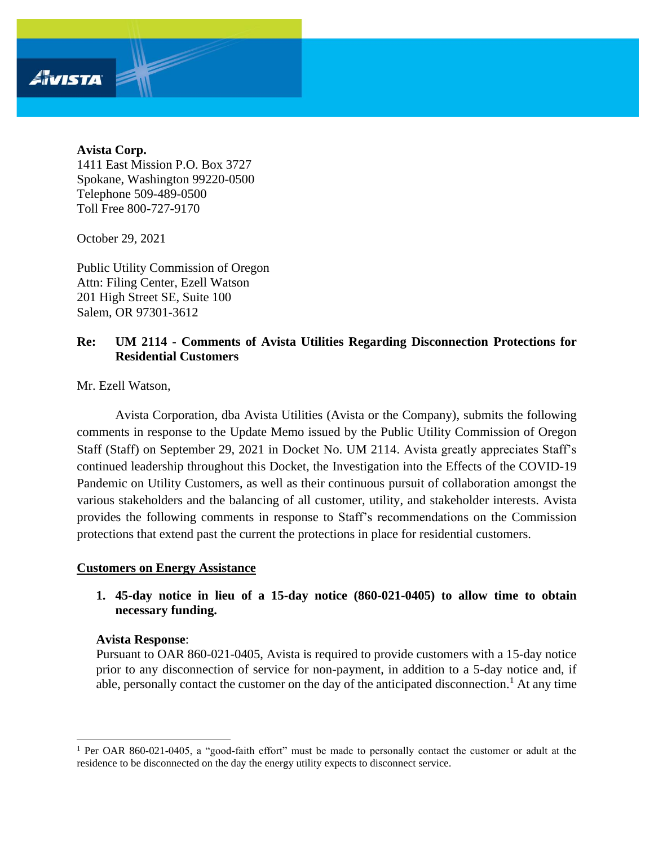#### **Avista Corp.**

Avista

1411 East Mission P.O. Box 3727 Spokane, Washington 99220-0500 Telephone 509-489-0500 Toll Free 800-727-9170

October 29, 2021

Public Utility Commission of Oregon Attn: Filing Center, Ezell Watson 201 High Street SE, Suite 100 Salem, OR 97301-3612

### **Re: UM 2114 - Comments of Avista Utilities Regarding Disconnection Protections for Residential Customers**

Mr. Ezell Watson,

Avista Corporation, dba Avista Utilities (Avista or the Company), submits the following comments in response to the Update Memo issued by the Public Utility Commission of Oregon Staff (Staff) on September 29, 2021 in Docket No. UM 2114. Avista greatly appreciates Staff's continued leadership throughout this Docket, the Investigation into the Effects of the COVID-19 Pandemic on Utility Customers, as well as their continuous pursuit of collaboration amongst the various stakeholders and the balancing of all customer, utility, and stakeholder interests. Avista provides the following comments in response to Staff's recommendations on the Commission protections that extend past the current the protections in place for residential customers.

#### **Customers on Energy Assistance**

**1. 45-day notice in lieu of a 15-day notice (860-021-0405) to allow time to obtain necessary funding.**

#### **Avista Response**:

Pursuant to OAR 860-021-0405, Avista is required to provide customers with a 15-day notice prior to any disconnection of service for non-payment, in addition to a 5-day notice and, if able, personally contact the customer on the day of the anticipated disconnection.<sup>1</sup> At any time

<sup>&</sup>lt;sup>1</sup> Per OAR 860-021-0405, a "good-faith effort" must be made to personally contact the customer or adult at the residence to be disconnected on the day the energy utility expects to disconnect service.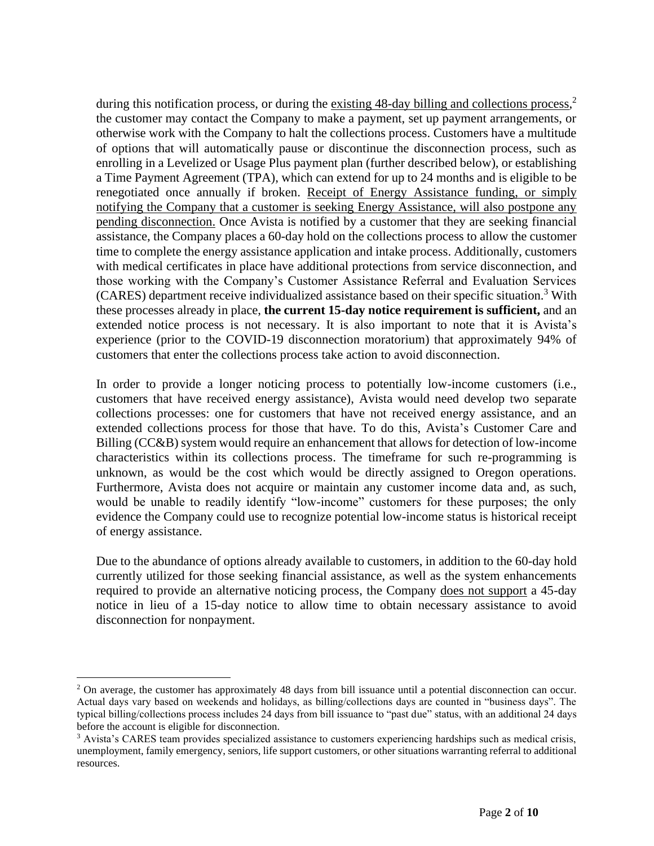during this notification process, or during the existing 48-day billing and collections process,<sup>2</sup> the customer may contact the Company to make a payment, set up payment arrangements, or otherwise work with the Company to halt the collections process. Customers have a multitude of options that will automatically pause or discontinue the disconnection process, such as enrolling in a Levelized or Usage Plus payment plan (further described below), or establishing a Time Payment Agreement (TPA), which can extend for up to 24 months and is eligible to be renegotiated once annually if broken. Receipt of Energy Assistance funding, or simply notifying the Company that a customer is seeking Energy Assistance, will also postpone any pending disconnection. Once Avista is notified by a customer that they are seeking financial assistance, the Company places a 60-day hold on the collections process to allow the customer time to complete the energy assistance application and intake process. Additionally, customers with medical certificates in place have additional protections from service disconnection, and those working with the Company's Customer Assistance Referral and Evaluation Services (CARES) department receive individualized assistance based on their specific situation.<sup>3</sup> With these processes already in place, **the current 15-day notice requirement is sufficient,** and an extended notice process is not necessary. It is also important to note that it is Avista's experience (prior to the COVID-19 disconnection moratorium) that approximately 94% of customers that enter the collections process take action to avoid disconnection.

In order to provide a longer noticing process to potentially low-income customers (i.e., customers that have received energy assistance), Avista would need develop two separate collections processes: one for customers that have not received energy assistance, and an extended collections process for those that have. To do this, Avista's Customer Care and Billing (CC&B) system would require an enhancement that allows for detection of low-income characteristics within its collections process. The timeframe for such re-programming is unknown, as would be the cost which would be directly assigned to Oregon operations. Furthermore, Avista does not acquire or maintain any customer income data and, as such, would be unable to readily identify "low-income" customers for these purposes; the only evidence the Company could use to recognize potential low-income status is historical receipt of energy assistance.

Due to the abundance of options already available to customers, in addition to the 60-day hold currently utilized for those seeking financial assistance, as well as the system enhancements required to provide an alternative noticing process, the Company does not support a 45-day notice in lieu of a 15-day notice to allow time to obtain necessary assistance to avoid disconnection for nonpayment.

<sup>&</sup>lt;sup>2</sup> On average, the customer has approximately 48 days from bill issuance until a potential disconnection can occur. Actual days vary based on weekends and holidays, as billing/collections days are counted in "business days". The typical billing/collections process includes 24 days from bill issuance to "past due" status, with an additional 24 days before the account is eligible for disconnection.

<sup>&</sup>lt;sup>3</sup> Avista's CARES team provides specialized assistance to customers experiencing hardships such as medical crisis, unemployment, family emergency, seniors, life support customers, or other situations warranting referral to additional resources.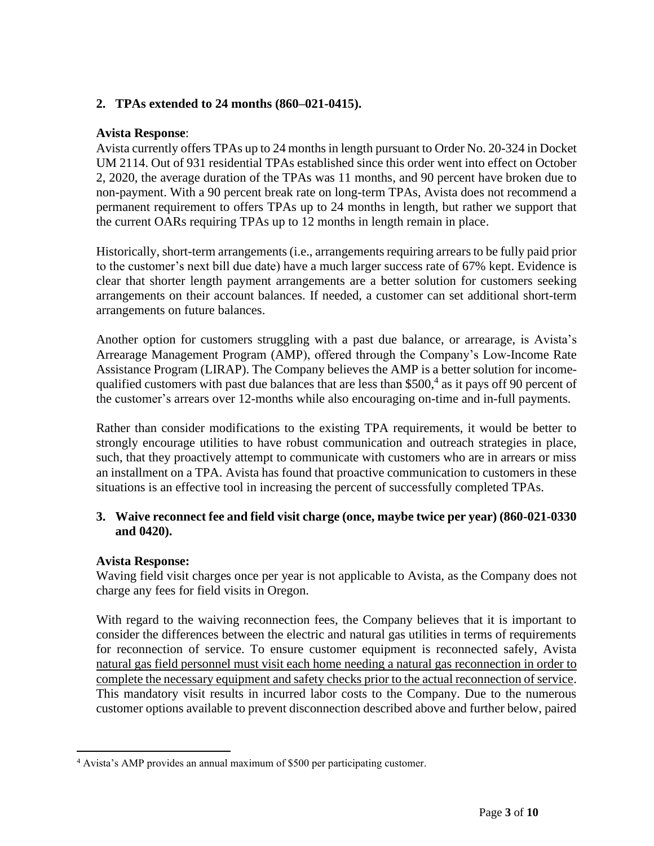# **2. TPAs extended to 24 months (860–021-0415).**

### **Avista Response**:

Avista currently offers TPAs up to 24 months in length pursuant to Order No. 20-324 in Docket UM 2114. Out of 931 residential TPAs established since this order went into effect on October 2, 2020, the average duration of the TPAs was 11 months, and 90 percent have broken due to non-payment. With a 90 percent break rate on long-term TPAs, Avista does not recommend a permanent requirement to offers TPAs up to 24 months in length, but rather we support that the current OARs requiring TPAs up to 12 months in length remain in place.

Historically, short-term arrangements (i.e., arrangements requiring arrears to be fully paid prior to the customer's next bill due date) have a much larger success rate of 67% kept. Evidence is clear that shorter length payment arrangements are a better solution for customers seeking arrangements on their account balances. If needed, a customer can set additional short-term arrangements on future balances.

Another option for customers struggling with a past due balance, or arrearage, is Avista's Arrearage Management Program (AMP), offered through the Company's Low-Income Rate Assistance Program (LIRAP). The Company believes the AMP is a better solution for incomequalified customers with past due balances that are less than \$500,<sup>4</sup> as it pays off 90 percent of the customer's arrears over 12-months while also encouraging on-time and in-full payments.

Rather than consider modifications to the existing TPA requirements, it would be better to strongly encourage utilities to have robust communication and outreach strategies in place, such, that they proactively attempt to communicate with customers who are in arrears or miss an installment on a TPA. Avista has found that proactive communication to customers in these situations is an effective tool in increasing the percent of successfully completed TPAs.

## **3. Waive reconnect fee and field visit charge (once, maybe twice per year) (860-021-0330 and 0420).**

### **Avista Response:**

Waving field visit charges once per year is not applicable to Avista, as the Company does not charge any fees for field visits in Oregon.

With regard to the waiving reconnection fees, the Company believes that it is important to consider the differences between the electric and natural gas utilities in terms of requirements for reconnection of service. To ensure customer equipment is reconnected safely, Avista natural gas field personnel must visit each home needing a natural gas reconnection in order to complete the necessary equipment and safety checks prior to the actual reconnection of service. This mandatory visit results in incurred labor costs to the Company. Due to the numerous customer options available to prevent disconnection described above and further below, paired

<sup>4</sup> Avista's AMP provides an annual maximum of \$500 per participating customer.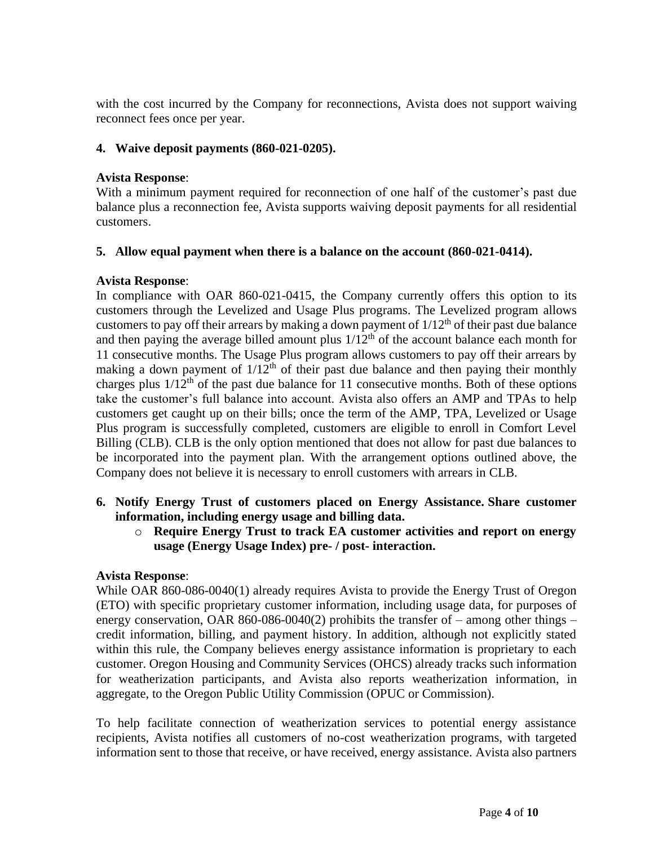with the cost incurred by the Company for reconnections, Avista does not support waiving reconnect fees once per year.

### **4. Waive deposit payments (860-021-0205).**

### **Avista Response**:

With a minimum payment required for reconnection of one half of the customer's past due balance plus a reconnection fee, Avista supports waiving deposit payments for all residential customers.

## **5. Allow equal payment when there is a balance on the account (860-021-0414).**

## **Avista Response**:

In compliance with OAR 860-021-0415, the Company currently offers this option to its customers through the Levelized and Usage Plus programs. The Levelized program allows customers to pay off their arrears by making a down payment of  $1/12<sup>th</sup>$  of their past due balance and then paying the average billed amount plus  $1/12<sup>th</sup>$  of the account balance each month for 11 consecutive months. The Usage Plus program allows customers to pay off their arrears by making a down payment of  $1/12<sup>th</sup>$  of their past due balance and then paying their monthly charges plus  $1/12<sup>th</sup>$  of the past due balance for 11 consecutive months. Both of these options take the customer's full balance into account. Avista also offers an AMP and TPAs to help customers get caught up on their bills; once the term of the AMP, TPA, Levelized or Usage Plus program is successfully completed, customers are eligible to enroll in Comfort Level Billing (CLB). CLB is the only option mentioned that does not allow for past due balances to be incorporated into the payment plan. With the arrangement options outlined above, the Company does not believe it is necessary to enroll customers with arrears in CLB.

- **6. Notify Energy Trust of customers placed on Energy Assistance. Share customer information, including energy usage and billing data.** 
	- o **Require Energy Trust to track EA customer activities and report on energy usage (Energy Usage Index) pre- / post- interaction.**

# **Avista Response**:

While OAR 860-086-0040(1) already requires Avista to provide the Energy Trust of Oregon (ETO) with specific proprietary customer information, including usage data, for purposes of energy conservation, OAR 860-086-0040(2) prohibits the transfer of – among other things – credit information, billing, and payment history. In addition, although not explicitly stated within this rule, the Company believes energy assistance information is proprietary to each customer. Oregon Housing and Community Services (OHCS) already tracks such information for weatherization participants, and Avista also reports weatherization information, in aggregate, to the Oregon Public Utility Commission (OPUC or Commission).

To help facilitate connection of weatherization services to potential energy assistance recipients, Avista notifies all customers of no-cost weatherization programs, with targeted information sent to those that receive, or have received, energy assistance. Avista also partners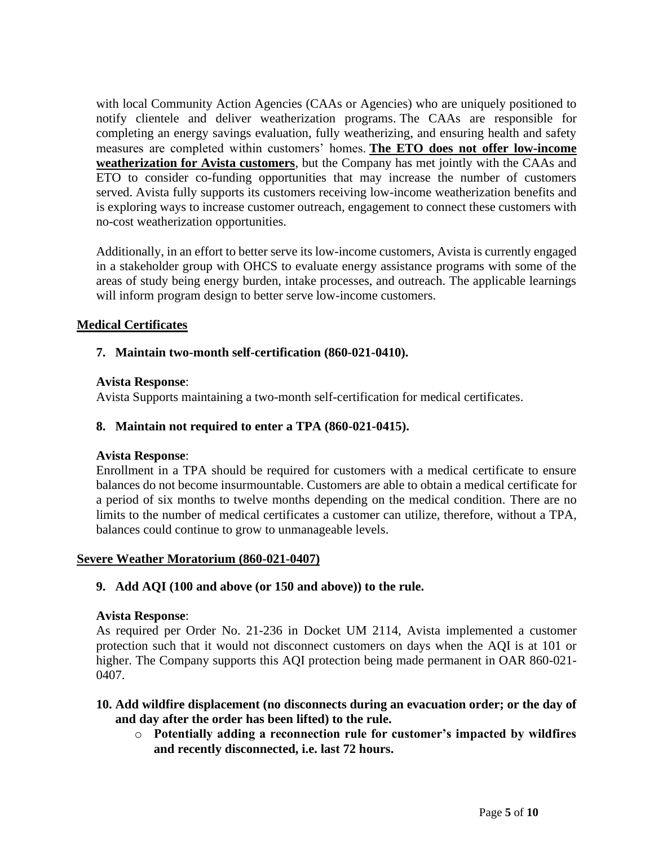with local Community Action Agencies (CAAs or Agencies) who are uniquely positioned to notify clientele and deliver weatherization programs. The CAAs are responsible for completing an energy savings evaluation, fully weatherizing, and ensuring health and safety measures are completed within customers' homes. **The ETO does not offer low-income weatherization for Avista customers**, but the Company has met jointly with the CAAs and ETO to consider co-funding opportunities that may increase the number of customers served. Avista fully supports its customers receiving low-income weatherization benefits and is exploring ways to increase customer outreach, engagement to connect these customers with no-cost weatherization opportunities.

Additionally, in an effort to better serve its low-income customers, Avista is currently engaged in a stakeholder group with OHCS to evaluate energy assistance programs with some of the areas of study being energy burden, intake processes, and outreach. The applicable learnings will inform program design to better serve low-income customers.

## **Medical Certificates**

## **7. Maintain two-month self-certification (860-021-0410).**

### **Avista Response**:

Avista Supports maintaining a two-month self-certification for medical certificates.

### **8. Maintain not required to enter a TPA (860-021-0415).**

### **Avista Response**:

Enrollment in a TPA should be required for customers with a medical certificate to ensure balances do not become insurmountable. Customers are able to obtain a medical certificate for a period of six months to twelve months depending on the medical condition. There are no limits to the number of medical certificates a customer can utilize, therefore, without a TPA, balances could continue to grow to unmanageable levels.

### **Severe Weather Moratorium (860-021-0407)**

### **9. Add AQI (100 and above (or 150 and above)) to the rule.**

### **Avista Response**:

As required per Order No. 21-236 in Docket UM 2114, Avista implemented a customer protection such that it would not disconnect customers on days when the AQI is at 101 or higher. The Company supports this AQI protection being made permanent in OAR 860-021- 0407.

### **10. Add wildfire displacement (no disconnects during an evacuation order; or the day of and day after the order has been lifted) to the rule.**

o **Potentially adding a reconnection rule for customer's impacted by wildfires and recently disconnected, i.e. last 72 hours.**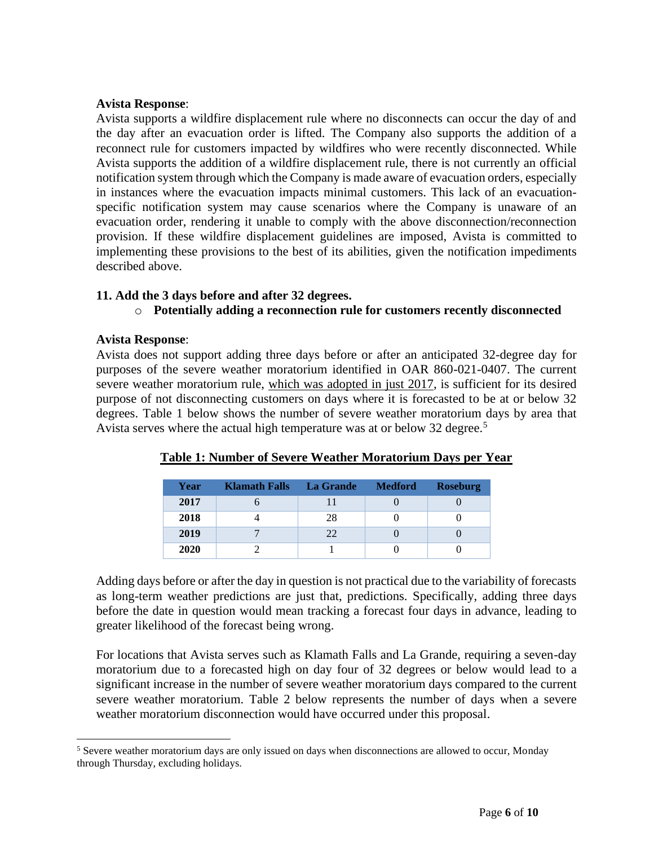### **Avista Response**:

Avista supports a wildfire displacement rule where no disconnects can occur the day of and the day after an evacuation order is lifted. The Company also supports the addition of a reconnect rule for customers impacted by wildfires who were recently disconnected. While Avista supports the addition of a wildfire displacement rule, there is not currently an official notification system through which the Company is made aware of evacuation orders, especially in instances where the evacuation impacts minimal customers. This lack of an evacuationspecific notification system may cause scenarios where the Company is unaware of an evacuation order, rendering it unable to comply with the above disconnection/reconnection provision. If these wildfire displacement guidelines are imposed, Avista is committed to implementing these provisions to the best of its abilities, given the notification impediments described above.

### **11. Add the 3 days before and after 32 degrees.**

#### o **Potentially adding a reconnection rule for customers recently disconnected**

#### **Avista Response**:

Avista does not support adding three days before or after an anticipated 32-degree day for purposes of the severe weather moratorium identified in OAR 860-021-0407. The current severe weather moratorium rule, which was adopted in just 2017, is sufficient for its desired purpose of not disconnecting customers on days where it is forecasted to be at or below 32 degrees. Table 1 below shows the number of severe weather moratorium days by area that Avista serves where the actual high temperature was at or below 32 degree.<sup>5</sup>

| Year | <b>Klamath Falls</b> | La Grande | <b>Medford</b> | <b>Roseburg</b> |
|------|----------------------|-----------|----------------|-----------------|
| 2017 |                      |           |                |                 |
| 2018 |                      | 28        |                |                 |
| 2019 |                      | 22        |                |                 |
| 2020 |                      |           |                |                 |

### **Table 1: Number of Severe Weather Moratorium Days per Year**

Adding days before or after the day in question is not practical due to the variability of forecasts as long-term weather predictions are just that, predictions. Specifically, adding three days before the date in question would mean tracking a forecast four days in advance, leading to greater likelihood of the forecast being wrong.

For locations that Avista serves such as Klamath Falls and La Grande, requiring a seven-day moratorium due to a forecasted high on day four of 32 degrees or below would lead to a significant increase in the number of severe weather moratorium days compared to the current severe weather moratorium. Table 2 below represents the number of days when a severe weather moratorium disconnection would have occurred under this proposal.

<sup>5</sup> Severe weather moratorium days are only issued on days when disconnections are allowed to occur, Monday through Thursday, excluding holidays.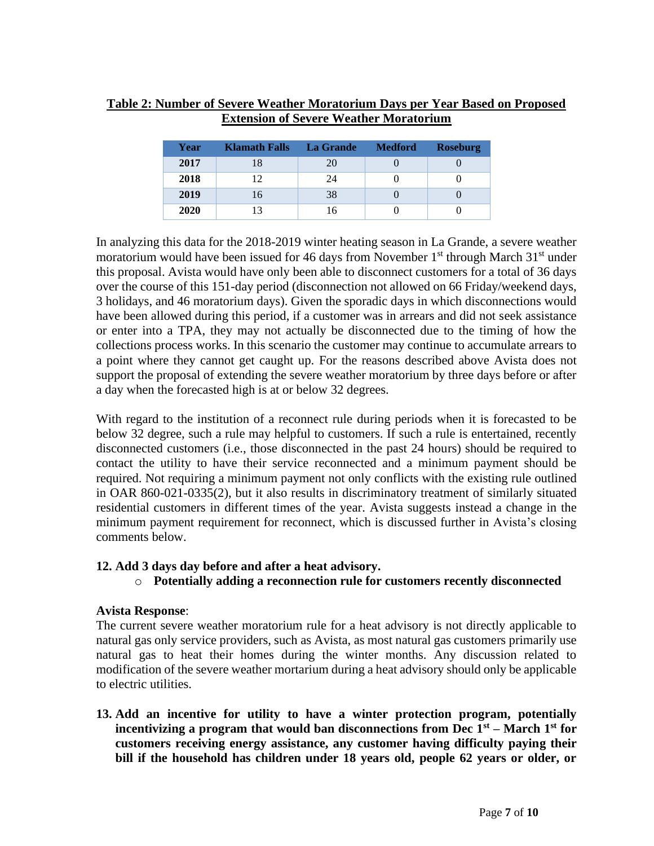## **Table 2: Number of Severe Weather Moratorium Days per Year Based on Proposed Extension of Severe Weather Moratorium**

| Year | <b>Klamath Falls</b> | <b>La Grande</b> | <b>Medford</b> | <b>Roseburg</b> |
|------|----------------------|------------------|----------------|-----------------|
| 2017 | 18                   | 20               |                |                 |
| 2018 | 12                   | 24               |                |                 |
| 2019 | 16                   | 38               |                |                 |
| 2020 | 13                   | 16               |                |                 |

In analyzing this data for the 2018-2019 winter heating season in La Grande, a severe weather moratorium would have been issued for 46 days from November  $1<sup>st</sup>$  through March  $31<sup>st</sup>$  under this proposal. Avista would have only been able to disconnect customers for a total of 36 days over the course of this 151-day period (disconnection not allowed on 66 Friday/weekend days, 3 holidays, and 46 moratorium days). Given the sporadic days in which disconnections would have been allowed during this period, if a customer was in arrears and did not seek assistance or enter into a TPA, they may not actually be disconnected due to the timing of how the collections process works. In this scenario the customer may continue to accumulate arrears to a point where they cannot get caught up. For the reasons described above Avista does not support the proposal of extending the severe weather moratorium by three days before or after a day when the forecasted high is at or below 32 degrees.

With regard to the institution of a reconnect rule during periods when it is forecasted to be below 32 degree, such a rule may helpful to customers. If such a rule is entertained, recently disconnected customers (i.e., those disconnected in the past 24 hours) should be required to contact the utility to have their service reconnected and a minimum payment should be required. Not requiring a minimum payment not only conflicts with the existing rule outlined in OAR 860-021-0335(2), but it also results in discriminatory treatment of similarly situated residential customers in different times of the year. Avista suggests instead a change in the minimum payment requirement for reconnect, which is discussed further in Avista's closing comments below.

### **12. Add 3 days day before and after a heat advisory.**

o **Potentially adding a reconnection rule for customers recently disconnected**

# **Avista Response**:

The current severe weather moratorium rule for a heat advisory is not directly applicable to natural gas only service providers, such as Avista, as most natural gas customers primarily use natural gas to heat their homes during the winter months. Any discussion related to modification of the severe weather mortarium during a heat advisory should only be applicable to electric utilities.

**13. Add an incentive for utility to have a winter protection program, potentially**  incentivizing a program that would ban disconnections from Dec  $\tilde{I}^{st}$  – March 1<sup>st</sup> for **customers receiving energy assistance, any customer having difficulty paying their bill if the household has children under 18 years old, people 62 years or older, or**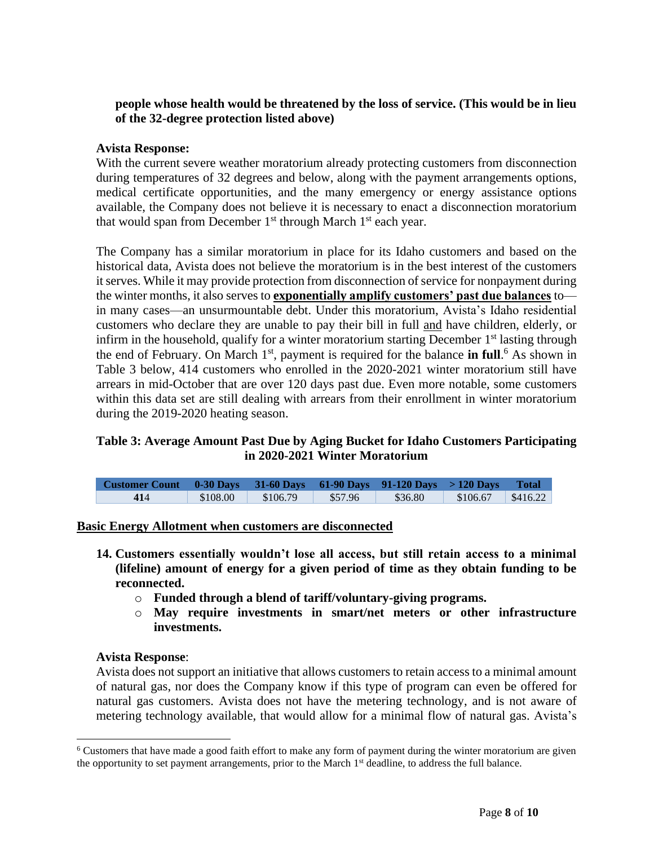## **people whose health would be threatened by the loss of service. (This would be in lieu of the 32-degree protection listed above)**

## **Avista Response:**

With the current severe weather moratorium already protecting customers from disconnection during temperatures of 32 degrees and below, along with the payment arrangements options, medical certificate opportunities, and the many emergency or energy assistance options available, the Company does not believe it is necessary to enact a disconnection moratorium that would span from December  $1<sup>st</sup>$  through March  $1<sup>st</sup>$  each year.

The Company has a similar moratorium in place for its Idaho customers and based on the historical data, Avista does not believe the moratorium is in the best interest of the customers it serves. While it may provide protection from disconnection of service for nonpayment during the winter months, it also serves to **exponentially amplify customers' past due balances** to in many cases—an unsurmountable debt. Under this moratorium, Avista's Idaho residential customers who [declare](javascript:void(0);) they are unable to pay their bill in full and have [children, elderly,](javascript:void(0);) or [infirm](javascript:void(0);) in the household, qualify for a winter moratorium starting December  $1<sup>st</sup>$  lasting through the end of February. On March 1<sup>st</sup>, payment is required for the balance **in full**.<sup>6</sup> As shown in Table 3 below, 414 customers who enrolled in the 2020-2021 winter moratorium still have arrears in mid-October that are over 120 days past due. Even more notable, some customers within this data set are still dealing with arrears from their enrollment in winter moratorium during the 2019-2020 heating season.

## **Table 3: Average Amount Past Due by Aging Bucket for Idaho Customers Participating in 2020-2021 Winter Moratorium**

| <b>Customer Count <math>\alpha</math> 0-30 Days 31-60 Days 61-90 Days 91-120 Days &gt; 120 Days</b> |          |          |         |         |          | <b>Total</b>     |
|-----------------------------------------------------------------------------------------------------|----------|----------|---------|---------|----------|------------------|
| 414                                                                                                 | \$108.00 | \$106.79 | \$57.96 | \$36.80 | \$106.67 | $\sqrt{3416.22}$ |

### **Basic Energy Allotment when customers are disconnected**

- **14. Customers essentially wouldn't lose all access, but still retain access to a minimal (lifeline) amount of energy for a given period of time as they obtain funding to be reconnected.**
	- o **Funded through a blend of tariff/voluntary-giving programs.**
	- o **May require investments in smart/net meters or other infrastructure investments.**

#### **Avista Response**:

Avista does not support an initiative that allows customers to retain access to a minimal amount of natural gas, nor does the Company know if this type of program can even be offered for natural gas customers. Avista does not have the metering technology, and is not aware of metering technology available, that would allow for a minimal flow of natural gas. Avista's

<sup>&</sup>lt;sup>6</sup> Customers that have made a good faith effort to make any form of payment during the winter moratorium are given the opportunity to set payment arrangements, prior to the March 1<sup>st</sup> deadline, to address the full balance.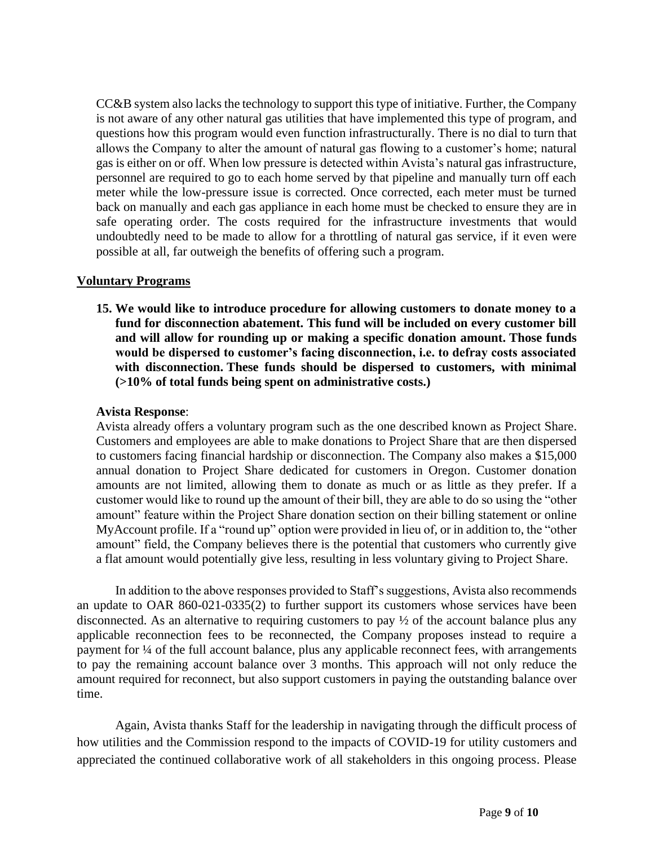CC&B system also lacks the technology to support this type of initiative. Further, the Company is not aware of any other natural gas utilities that have implemented this type of program, and questions how this program would even function infrastructurally. There is no dial to turn that allows the Company to alter the amount of natural gas flowing to a customer's home; natural gas is either on or off. When low pressure is detected within Avista's natural gas infrastructure, personnel are required to go to each home served by that pipeline and manually turn off each meter while the low-pressure issue is corrected. Once corrected, each meter must be turned back on manually and each gas appliance in each home must be checked to ensure they are in safe operating order. The costs required for the infrastructure investments that would undoubtedly need to be made to allow for a throttling of natural gas service, if it even were possible at all, far outweigh the benefits of offering such a program.

### **Voluntary Programs**

**15. We would like to introduce procedure for allowing customers to donate money to a fund for disconnection abatement. This fund will be included on every customer bill and will allow for rounding up or making a specific donation amount. Those funds would be dispersed to customer's facing disconnection, i.e. to defray costs associated with disconnection. These funds should be dispersed to customers, with minimal (>10% of total funds being spent on administrative costs.)**

### **Avista Response**:

Avista already offers a voluntary program such as the one described known as Project Share. Customers and employees are able to make donations to Project Share that are then dispersed to customers facing financial hardship or disconnection. The Company also makes a \$15,000 annual donation to Project Share dedicated for customers in Oregon. Customer donation amounts are not limited, allowing them to donate as much or as little as they prefer. If a customer would like to round up the amount of their bill, they are able to do so using the "other amount" feature within the Project Share donation section on their billing statement or online MyAccount profile. If a "round up" option were provided in lieu of, or in addition to, the "other amount" field, the Company believes there is the potential that customers who currently give a flat amount would potentially give less, resulting in less voluntary giving to Project Share.

In addition to the above responses provided to Staff's suggestions, Avista also recommends an update to OAR 860-021-0335(2) to further support its customers whose services have been disconnected. As an alternative to requiring customers to pay ½ of the account balance plus any applicable reconnection fees to be reconnected, the Company proposes instead to require a payment for ¼ of the full account balance, plus any applicable reconnect fees, with arrangements to pay the remaining account balance over 3 months. This approach will not only reduce the amount required for reconnect, but also support customers in paying the outstanding balance over time.

Again, Avista thanks Staff for the leadership in navigating through the difficult process of how utilities and the Commission respond to the impacts of COVID-19 for utility customers and appreciated the continued collaborative work of all stakeholders in this ongoing process. Please